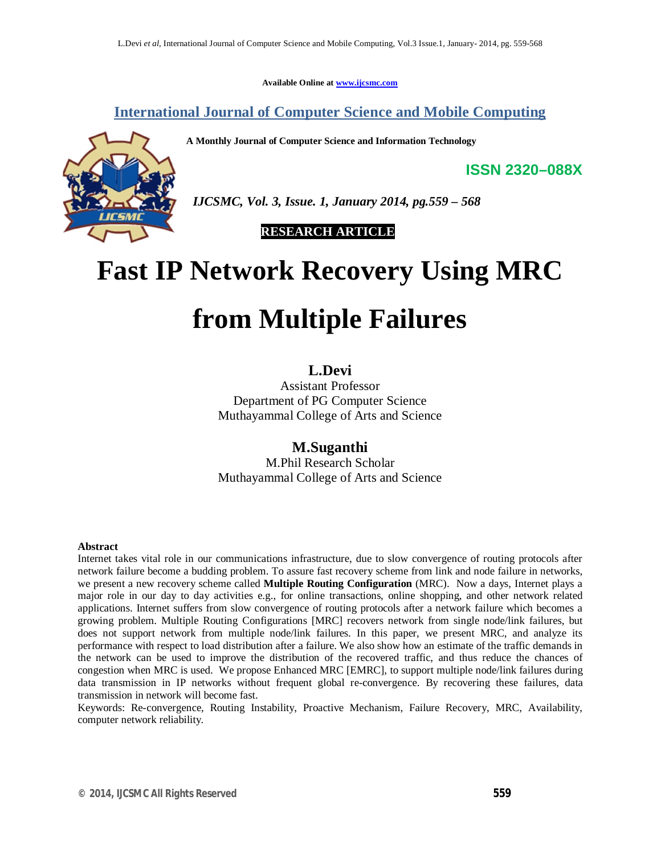**Available Online at www.ijcsmc.com**

**International Journal of Computer Science and Mobile Computing**

**A Monthly Journal of Computer Science and Information Technology**



 *IJCSMC, Vol. 3, Issue. 1, January 2014, pg.559 – 568*

 **RESEARCH ARTICLE**

# **Fast IP Network Recovery Using MRC**

# **from Multiple Failures**

# **L.Devi**

Assistant Professor Department of PG Computer Science Muthayammal College of Arts and Science

**M.Suganthi** M.Phil Research Scholar Muthayammal College of Arts and Science

#### **Abstract**

Internet takes vital role in our communications infrastructure, due to slow convergence of routing protocols after network failure become a budding problem. To assure fast recovery scheme from link and node failure in networks, we present a new recovery scheme called **Multiple Routing Configuration** (MRC). Now a days, Internet plays a major role in our day to day activities e.g., for online transactions, online shopping, and other network related applications. Internet suffers from slow convergence of routing protocols after a network failure which becomes a growing problem. Multiple Routing Configurations [MRC] recovers network from single node/link failures, but does not support network from multiple node/link failures. In this paper, we present MRC, and analyze its performance with respect to load distribution after a failure. We also show how an estimate of the traffic demands in the network can be used to improve the distribution of the recovered traffic, and thus reduce the chances of congestion when MRC is used. We propose Enhanced MRC [EMRC], to support multiple node/link failures during data transmission in IP networks without frequent global re-convergence. By recovering these failures, data transmission in network will become fast.

Keywords: Re-convergence, Routing Instability, Proactive Mechanism, Failure Recovery, MRC, Availability, computer network reliability.

**ISSN 2320–088X**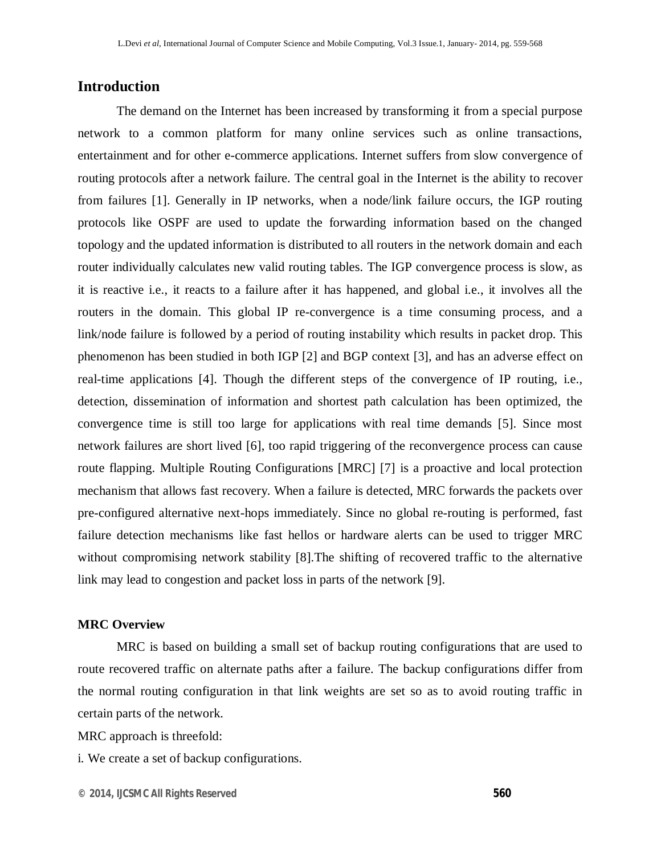## **Introduction**

The demand on the Internet has been increased by transforming it from a special purpose network to a common platform for many online services such as online transactions, entertainment and for other e-commerce applications. Internet suffers from slow convergence of routing protocols after a network failure. The central goal in the Internet is the ability to recover from failures [1]. Generally in IP networks, when a node/link failure occurs, the IGP routing protocols like OSPF are used to update the forwarding information based on the changed topology and the updated information is distributed to all routers in the network domain and each router individually calculates new valid routing tables. The IGP convergence process is slow, as it is reactive i.e., it reacts to a failure after it has happened, and global i.e., it involves all the routers in the domain. This global IP re-convergence is a time consuming process, and a link/node failure is followed by a period of routing instability which results in packet drop. This phenomenon has been studied in both IGP [2] and BGP context [3], and has an adverse effect on real-time applications [4]. Though the different steps of the convergence of IP routing, i.e., detection, dissemination of information and shortest path calculation has been optimized, the convergence time is still too large for applications with real time demands [5]. Since most network failures are short lived [6], too rapid triggering of the reconvergence process can cause route flapping. Multiple Routing Configurations [MRC] [7] is a proactive and local protection mechanism that allows fast recovery. When a failure is detected, MRC forwards the packets over pre-configured alternative next-hops immediately. Since no global re-routing is performed, fast failure detection mechanisms like fast hellos or hardware alerts can be used to trigger MRC without compromising network stability [8]. The shifting of recovered traffic to the alternative link may lead to congestion and packet loss in parts of the network [9].

#### **MRC Overview**

MRC is based on building a small set of backup routing configurations that are used to route recovered traffic on alternate paths after a failure. The backup configurations differ from the normal routing configuration in that link weights are set so as to avoid routing traffic in certain parts of the network.

MRC approach is threefold:

i. We create a set of backup configurations.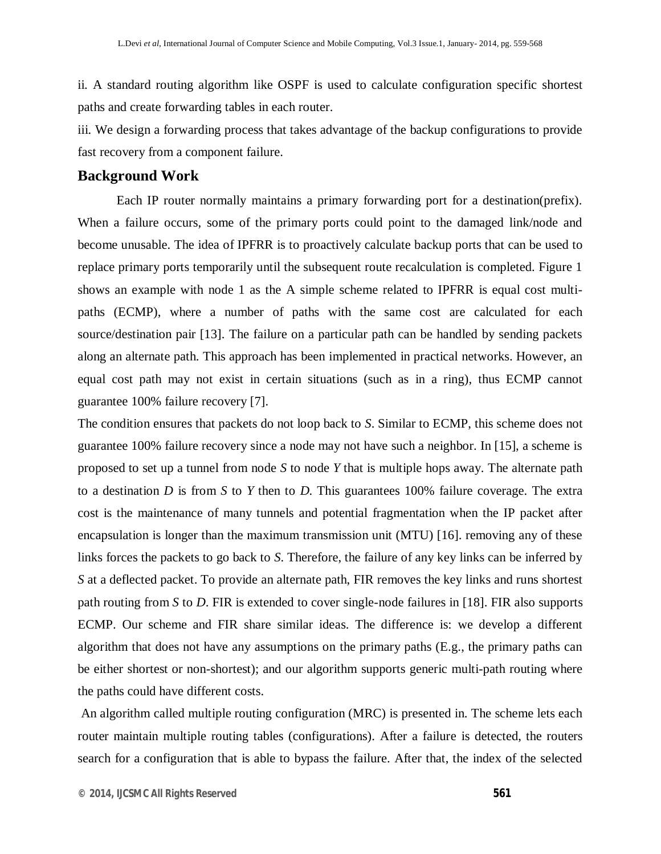ii. A standard routing algorithm like OSPF is used to calculate configuration specific shortest paths and create forwarding tables in each router.

iii. We design a forwarding process that takes advantage of the backup configurations to provide fast recovery from a component failure.

### **Background Work**

Each IP router normally maintains a primary forwarding port for a destination(prefix). When a failure occurs, some of the primary ports could point to the damaged link/node and become unusable. The idea of IPFRR is to proactively calculate backup ports that can be used to replace primary ports temporarily until the subsequent route recalculation is completed. Figure 1 shows an example with node 1 as the A simple scheme related to IPFRR is equal cost multipaths (ECMP), where a number of paths with the same cost are calculated for each source/destination pair [13]. The failure on a particular path can be handled by sending packets along an alternate path. This approach has been implemented in practical networks. However, an equal cost path may not exist in certain situations (such as in a ring), thus ECMP cannot guarantee 100% failure recovery [7].

The condition ensures that packets do not loop back to *S*. Similar to ECMP, this scheme does not guarantee 100% failure recovery since a node may not have such a neighbor. In [15], a scheme is proposed to set up a tunnel from node *S* to node *Y* that is multiple hops away. The alternate path to a destination *D* is from *S* to *Y* then to *D*. This guarantees 100% failure coverage. The extra cost is the maintenance of many tunnels and potential fragmentation when the IP packet after encapsulation is longer than the maximum transmission unit (MTU) [16]. removing any of these links forces the packets to go back to *S*. Therefore, the failure of any key links can be inferred by *S* at a deflected packet. To provide an alternate path, FIR removes the key links and runs shortest path routing from *S* to *D*. FIR is extended to cover single-node failures in [18]. FIR also supports ECMP. Our scheme and FIR share similar ideas. The difference is: we develop a different algorithm that does not have any assumptions on the primary paths (E.g., the primary paths can be either shortest or non-shortest); and our algorithm supports generic multi-path routing where the paths could have different costs.

An algorithm called multiple routing configuration (MRC) is presented in. The scheme lets each router maintain multiple routing tables (configurations). After a failure is detected, the routers search for a configuration that is able to bypass the failure. After that, the index of the selected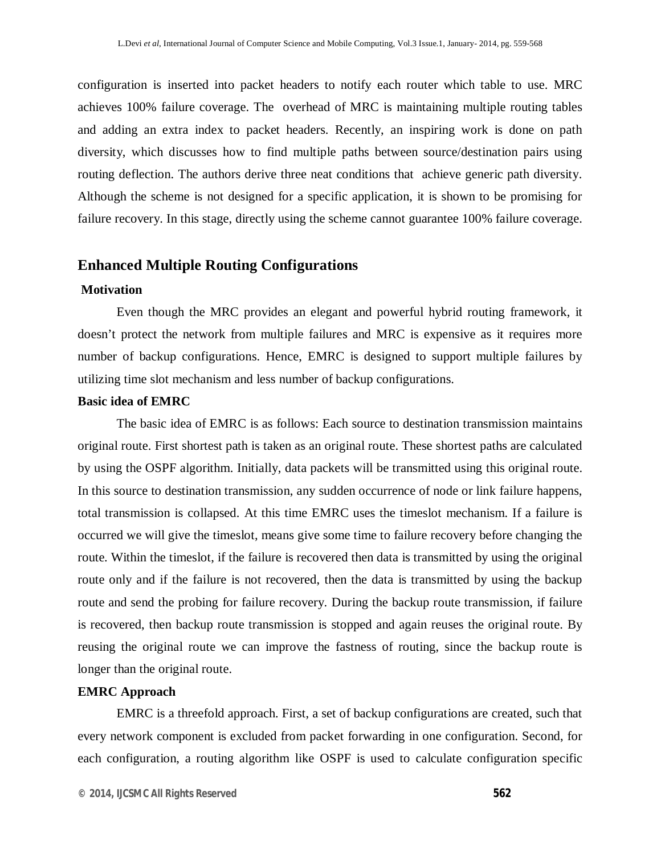configuration is inserted into packet headers to notify each router which table to use. MRC achieves 100% failure coverage. The overhead of MRC is maintaining multiple routing tables and adding an extra index to packet headers. Recently, an inspiring work is done on path diversity, which discusses how to find multiple paths between source/destination pairs using routing deflection. The authors derive three neat conditions that achieve generic path diversity. Although the scheme is not designed for a specific application, it is shown to be promising for failure recovery. In this stage, directly using the scheme cannot guarantee 100% failure coverage.

# **Enhanced Multiple Routing Configurations**

#### **Motivation**

Even though the MRC provides an elegant and powerful hybrid routing framework, it doesn't protect the network from multiple failures and MRC is expensive as it requires more number of backup configurations. Hence, EMRC is designed to support multiple failures by utilizing time slot mechanism and less number of backup configurations.

#### **Basic idea of EMRC**

The basic idea of EMRC is as follows: Each source to destination transmission maintains original route. First shortest path is taken as an original route. These shortest paths are calculated by using the OSPF algorithm. Initially, data packets will be transmitted using this original route. In this source to destination transmission, any sudden occurrence of node or link failure happens, total transmission is collapsed. At this time EMRC uses the timeslot mechanism. If a failure is occurred we will give the timeslot, means give some time to failure recovery before changing the route. Within the timeslot, if the failure is recovered then data is transmitted by using the original route only and if the failure is not recovered, then the data is transmitted by using the backup route and send the probing for failure recovery. During the backup route transmission, if failure is recovered, then backup route transmission is stopped and again reuses the original route. By reusing the original route we can improve the fastness of routing, since the backup route is longer than the original route.

#### **EMRC Approach**

EMRC is a threefold approach. First, a set of backup configurations are created, such that every network component is excluded from packet forwarding in one configuration. Second, for each configuration, a routing algorithm like OSPF is used to calculate configuration specific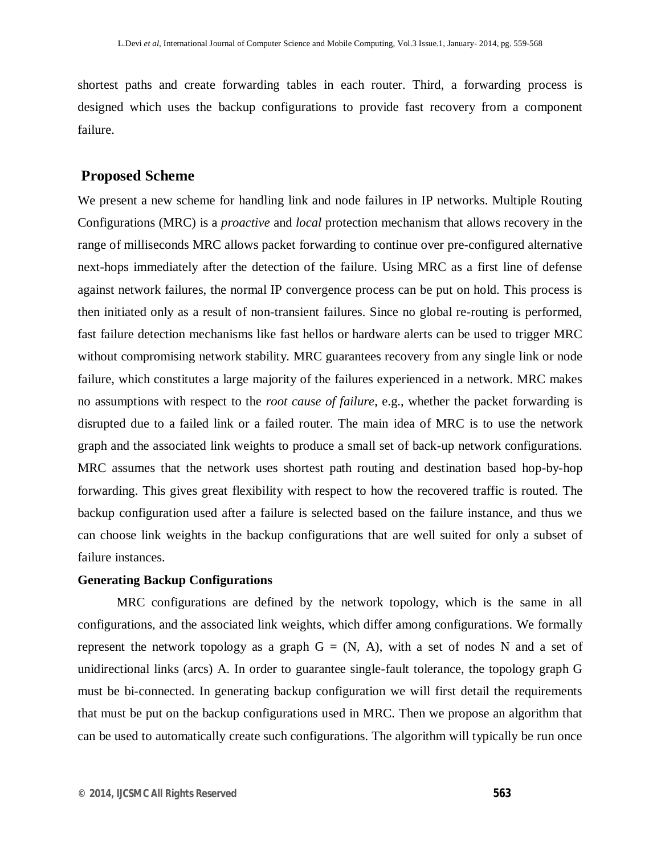shortest paths and create forwarding tables in each router. Third, a forwarding process is designed which uses the backup configurations to provide fast recovery from a component failure.

#### **Proposed Scheme**

We present a new scheme for handling link and node failures in IP networks. Multiple Routing Configurations (MRC) is a *proactive* and *local* protection mechanism that allows recovery in the range of milliseconds MRC allows packet forwarding to continue over pre-configured alternative next-hops immediately after the detection of the failure. Using MRC as a first line of defense against network failures, the normal IP convergence process can be put on hold. This process is then initiated only as a result of non-transient failures. Since no global re-routing is performed, fast failure detection mechanisms like fast hellos or hardware alerts can be used to trigger MRC without compromising network stability. MRC guarantees recovery from any single link or node failure, which constitutes a large majority of the failures experienced in a network. MRC makes no assumptions with respect to the *root cause of failure*, e.g., whether the packet forwarding is disrupted due to a failed link or a failed router. The main idea of MRC is to use the network graph and the associated link weights to produce a small set of back-up network configurations. MRC assumes that the network uses shortest path routing and destination based hop-by-hop forwarding. This gives great flexibility with respect to how the recovered traffic is routed. The backup configuration used after a failure is selected based on the failure instance, and thus we can choose link weights in the backup configurations that are well suited for only a subset of failure instances.

#### **Generating Backup Configurations**

MRC configurations are defined by the network topology, which is the same in all configurations, and the associated link weights, which differ among configurations. We formally represent the network topology as a graph  $G = (N, A)$ , with a set of nodes N and a set of unidirectional links (arcs) A. In order to guarantee single-fault tolerance, the topology graph G must be bi-connected. In generating backup configuration we will first detail the requirements that must be put on the backup configurations used in MRC. Then we propose an algorithm that can be used to automatically create such configurations. The algorithm will typically be run once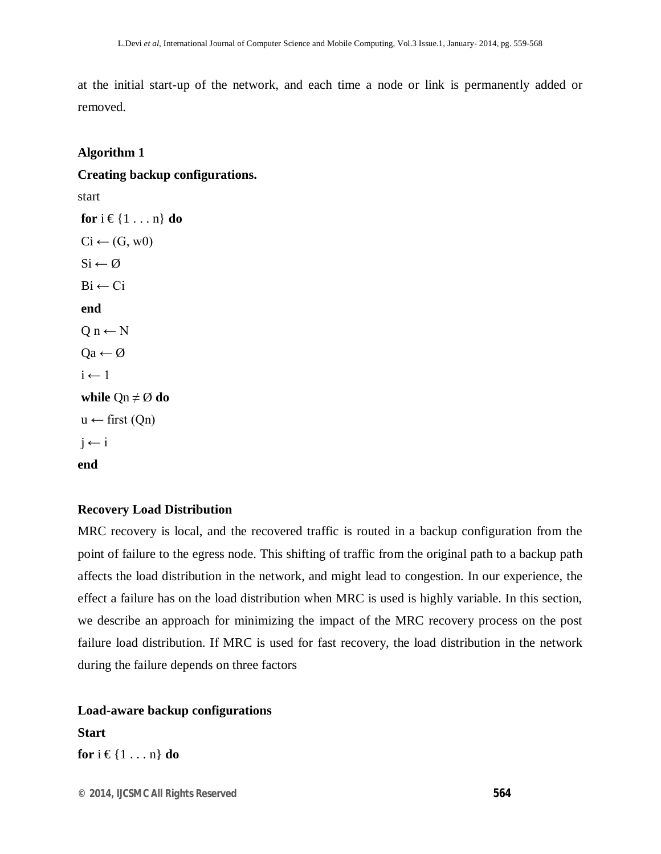at the initial start-up of the network, and each time a node or link is permanently added or removed.

#### **Algorithm 1**

#### **Creating backup configurations.**

start

```
for i \in \{1 \ldots n\} do
Ci \leftarrow (G, w0)Si \leftarrow \emptysetBi \leftarrow Ciend 
Q n \leftarrow NQa \leftarrow \emptyseti \leftarrow 1while Qn \neq \emptyset do
u \leftarrow \text{first (Qn)}i \leftarrow iend
```
#### **Recovery Load Distribution**

MRC recovery is local, and the recovered traffic is routed in a backup configuration from the point of failure to the egress node. This shifting of traffic from the original path to a backup path affects the load distribution in the network, and might lead to congestion. In our experience, the effect a failure has on the load distribution when MRC is used is highly variable. In this section, we describe an approach for minimizing the impact of the MRC recovery process on the post failure load distribution. If MRC is used for fast recovery, the load distribution in the network during the failure depends on three factors

**Load-aware backup configurations Start for**  $i \in \{1 \ldots n\}$  **do**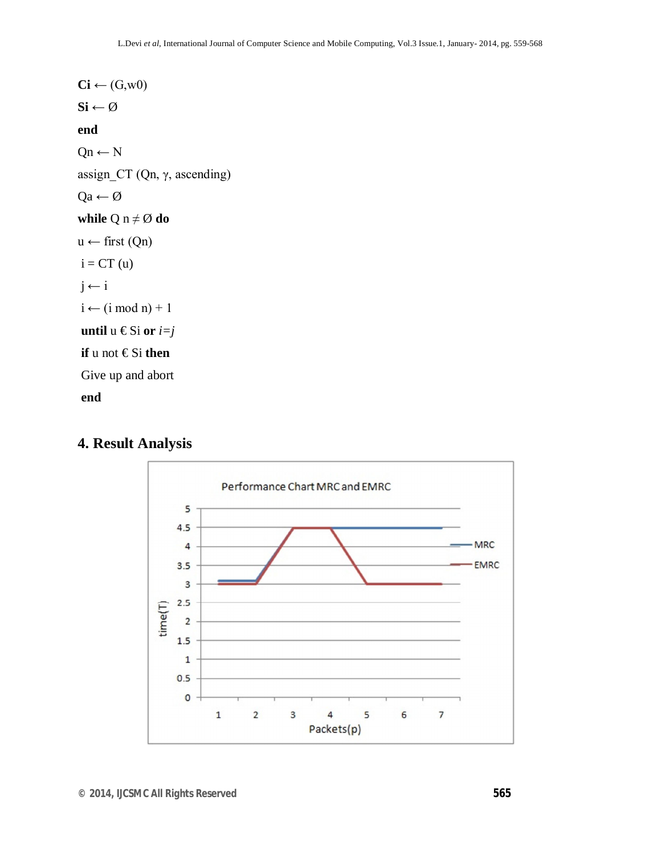```
\text{Ci} \leftarrow (\text{G}, \text{w0})S_i \leftarrow \emptysetend 
Qn \leftarrow Nassign_CT (Qn, γ, ascending) 
Qa \leftarrow \emptysetwhile Q n \neq \emptyset do
u \leftarrow \text{first (Qn)}i = CT(u)j \leftarrow ii \leftarrow (i \mod n) + 1until u €Si or i=jif u not € Si then 
Give up and abort 
end
```
# **4. Result Analysis**

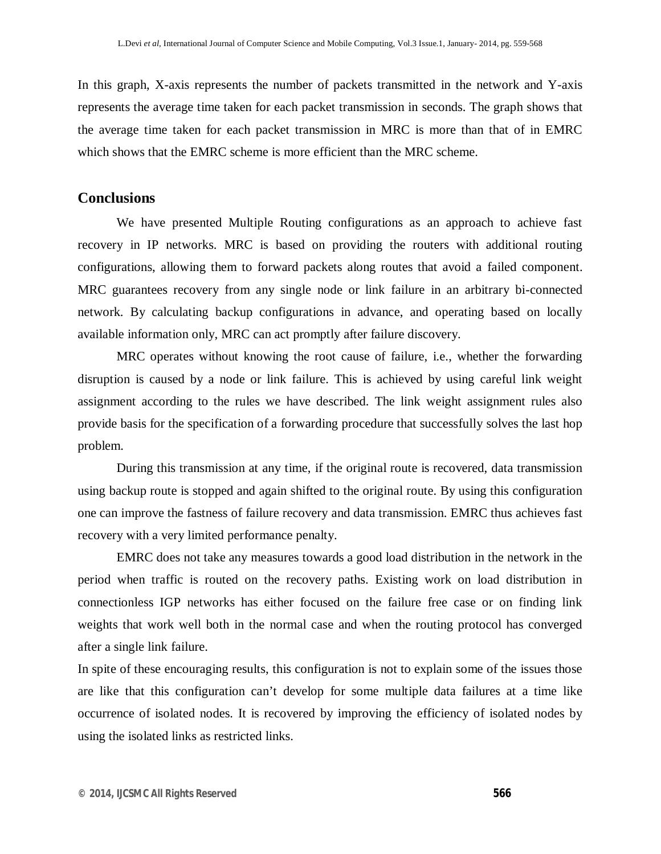In this graph, X-axis represents the number of packets transmitted in the network and Y-axis represents the average time taken for each packet transmission in seconds. The graph shows that the average time taken for each packet transmission in MRC is more than that of in EMRC which shows that the EMRC scheme is more efficient than the MRC scheme.

# **Conclusions**

We have presented Multiple Routing configurations as an approach to achieve fast recovery in IP networks. MRC is based on providing the routers with additional routing configurations, allowing them to forward packets along routes that avoid a failed component. MRC guarantees recovery from any single node or link failure in an arbitrary bi-connected network. By calculating backup configurations in advance, and operating based on locally available information only, MRC can act promptly after failure discovery.

MRC operates without knowing the root cause of failure, i.e., whether the forwarding disruption is caused by a node or link failure. This is achieved by using careful link weight assignment according to the rules we have described. The link weight assignment rules also provide basis for the specification of a forwarding procedure that successfully solves the last hop problem.

During this transmission at any time, if the original route is recovered, data transmission using backup route is stopped and again shifted to the original route. By using this configuration one can improve the fastness of failure recovery and data transmission. EMRC thus achieves fast recovery with a very limited performance penalty.

EMRC does not take any measures towards a good load distribution in the network in the period when traffic is routed on the recovery paths. Existing work on load distribution in connectionless IGP networks has either focused on the failure free case or on finding link weights that work well both in the normal case and when the routing protocol has converged after a single link failure.

In spite of these encouraging results, this configuration is not to explain some of the issues those are like that this configuration can't develop for some multiple data failures at a time like occurrence of isolated nodes. It is recovered by improving the efficiency of isolated nodes by using the isolated links as restricted links.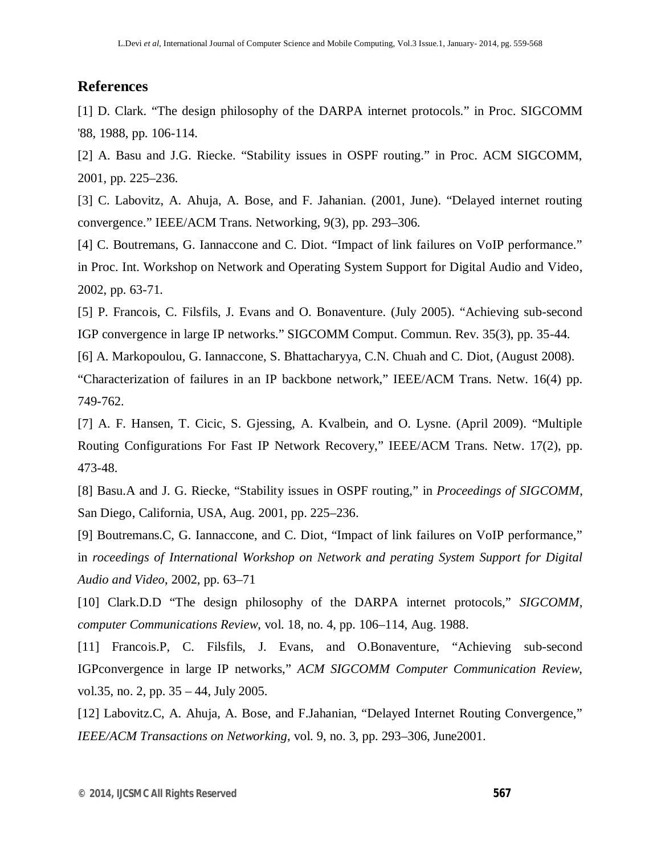# **References**

[1] D. Clark. "The design philosophy of the DARPA internet protocols." in Proc. SIGCOMM '88, 1988, pp. 106-114.

[2] A. Basu and J.G. Riecke. "Stability issues in OSPF routing." in Proc. ACM SIGCOMM, 2001, pp. 225–236.

[3] C. Labovitz, A. Ahuja, A. Bose, and F. Jahanian. (2001, June). "Delayed internet routing convergence." IEEE/ACM Trans. Networking, 9(3), pp. 293–306.

[4] C. Boutremans, G. Iannaccone and C. Diot. "Impact of link failures on VoIP performance." in Proc. Int. Workshop on Network and Operating System Support for Digital Audio and Video, 2002, pp. 63-71.

[5] P. Francois, C. Filsfils, J. Evans and O. Bonaventure. (July 2005). "Achieving sub-second IGP convergence in large IP networks." SIGCOMM Comput. Commun. Rev. 35(3), pp. 35-44.

[6] A. Markopoulou, G. Iannaccone, S. Bhattacharyya, C.N. Chuah and C. Diot, (August 2008).

"Characterization of failures in an IP backbone network," IEEE/ACM Trans. Netw. 16(4) pp. 749-762.

[7] A. F. Hansen, T. Cicic, S. Gjessing, A. Kvalbein, and O. Lysne. (April 2009). "Multiple Routing Configurations For Fast IP Network Recovery," IEEE/ACM Trans. Netw. 17(2), pp. 473-48.

[8] Basu.A and J. G. Riecke, "Stability issues in OSPF routing," in *Proceedings of SIGCOMM*, San Diego, California, USA, Aug. 2001, pp. 225–236.

[9] Boutremans.C, G. Iannaccone, and C. Diot, "Impact of link failures on VoIP performance," in *roceedings of International Workshop on Network and perating System Support for Digital Audio and Video*, 2002, pp. 63–71

[10] Clark.D.D "The design philosophy of the DARPA internet protocols," *SIGCOMM, computer Communications Review*, vol. 18, no. 4, pp. 106–114, Aug. 1988.

[11] Francois.P, C. Filsfils, J. Evans, and O.Bonaventure, "Achieving sub-second IGPconvergence in large IP networks," *ACM SIGCOMM Computer Communication Review*, vol.35, no. 2, pp. 35 – 44, July 2005.

[12] Labovitz.C, A. Ahuja, A. Bose, and F. Jahanian, "Delayed Internet Routing Convergence," *IEEE/ACM Transactions on Networking*, vol. 9, no. 3, pp. 293–306, June2001.